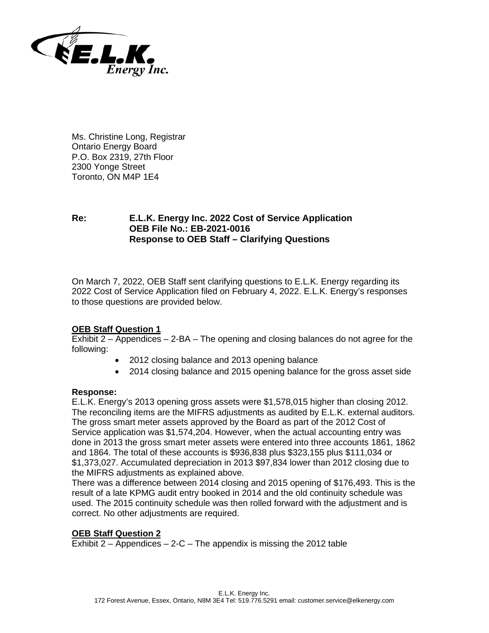

Ms. Christine Long, Registrar Ontario Energy Board P.O. Box 2319, 27th Floor 2300 Yonge Street Toronto, ON M4P 1E4

# **Re: E.L.K. Energy Inc. 2022 Cost of Service Application OEB File No.: EB-2021-0016 Response to OEB Staff – Clarifying Questions**

On March 7, 2022, OEB Staff sent clarifying questions to E.L.K. Energy regarding its 2022 Cost of Service Application filed on February 4, 2022. E.L.K. Energy's responses to those questions are provided below.

## **OEB Staff Question 1**

Exhibit 2 – Appendices – 2-BA – The opening and closing balances do not agree for the following:

- 2012 closing balance and 2013 opening balance
- 2014 closing balance and 2015 opening balance for the gross asset side

### **Response:**

E.L.K. Energy's 2013 opening gross assets were \$1,578,015 higher than closing 2012. The reconciling items are the MIFRS adjustments as audited by E.L.K. external auditors. The gross smart meter assets approved by the Board as part of the 2012 Cost of Service application was \$1,574,204. However, when the actual accounting entry was done in 2013 the gross smart meter assets were entered into three accounts 1861, 1862 and 1864. The total of these accounts is \$936,838 plus \$323,155 plus \$111,034 or \$1,373,027. Accumulated depreciation in 2013 \$97,834 lower than 2012 closing due to the MIFRS adjustments as explained above.

There was a difference between 2014 closing and 2015 opening of \$176,493. This is the result of a late KPMG audit entry booked in 2014 and the old continuity schedule was used. The 2015 continuity schedule was then rolled forward with the adjustment and is correct. No other adjustments are required.

## **OEB Staff Question 2**

Exhibit  $2 -$  Appendices  $-2$ -C  $-$  The appendix is missing the 2012 table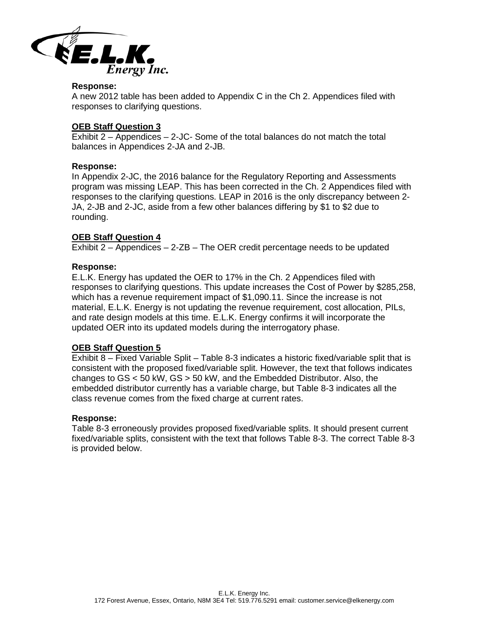

#### **Response:**

A new 2012 table has been added to Appendix C in the Ch 2. Appendices filed with responses to clarifying questions.

### **OEB Staff Question 3**

 $\overline{\text{Exhibit 2}} - \text{Appendices} - 2\text{-JC} - \text{Some of the total balances do not match the total}$ balances in Appendices 2-JA and 2-JB.

### **Response:**

In Appendix 2-JC, the 2016 balance for the Regulatory Reporting and Assessments program was missing LEAP. This has been corrected in the Ch. 2 Appendices filed with responses to the clarifying questions. LEAP in 2016 is the only discrepancy between 2- JA, 2-JB and 2-JC, aside from a few other balances differing by \$1 to \$2 due to rounding.

### **OEB Staff Question 4**

Exhibit 2 – Appendices – 2-ZB – The OER credit percentage needs to be updated

### **Response:**

E.L.K. Energy has updated the OER to 17% in the Ch. 2 Appendices filed with responses to clarifying questions. This update increases the Cost of Power by \$285,258, which has a revenue requirement impact of \$1,090.11. Since the increase is not material, E.L.K. Energy is not updating the revenue requirement, cost allocation, PILs, and rate design models at this time. E.L.K. Energy confirms it will incorporate the updated OER into its updated models during the interrogatory phase.

### **OEB Staff Question 5**

Exhibit 8 – Fixed Variable Split – Table 8-3 indicates a historic fixed/variable split that is consistent with the proposed fixed/variable split. However, the text that follows indicates changes to GS < 50 kW, GS > 50 kW, and the Embedded Distributor. Also, the embedded distributor currently has a variable charge, but Table 8-3 indicates all the class revenue comes from the fixed charge at current rates.

### **Response:**

Table 8-3 erroneously provides proposed fixed/variable splits. It should present current fixed/variable splits, consistent with the text that follows Table 8-3. The correct Table 8-3 is provided below.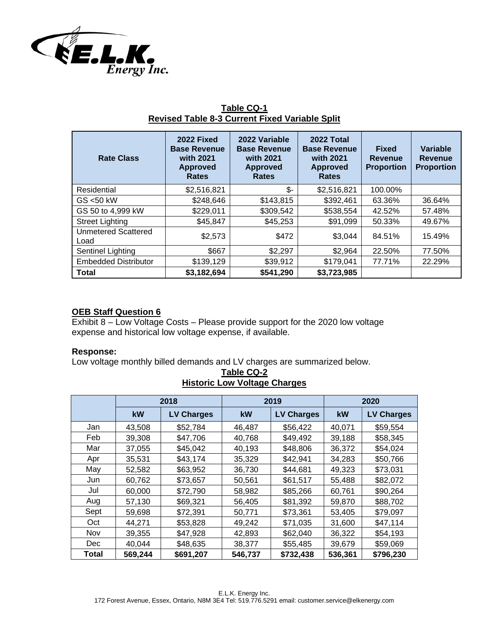

| <b>Rate Class</b>                  | 2022 Fixed<br><b>Base Revenue</b><br>with 2021<br><b>Approved</b><br><b>Rates</b> | 2022 Variable<br><b>Base Revenue</b><br>with 2021<br><b>Approved</b><br><b>Rates</b> | 2022 Total<br><b>Base Revenue</b><br>with 2021<br><b>Approved</b><br><b>Rates</b> | <b>Fixed</b><br>Revenue<br><b>Proportion</b> | Variable<br><b>Revenue</b><br><b>Proportion</b> |
|------------------------------------|-----------------------------------------------------------------------------------|--------------------------------------------------------------------------------------|-----------------------------------------------------------------------------------|----------------------------------------------|-------------------------------------------------|
| Residential                        | \$2,516,821                                                                       | \$-                                                                                  | \$2,516,821                                                                       | 100.00%                                      |                                                 |
| $GS$ <50 kW                        | \$248,646                                                                         | \$143,815                                                                            | \$392,461                                                                         | 63.36%                                       | 36.64%                                          |
| GS 50 to 4,999 kW                  | \$229,011                                                                         | \$309,542                                                                            | \$538,554                                                                         | 42.52%                                       | 57.48%                                          |
| <b>Street Lighting</b>             | \$45,847                                                                          | \$45,253                                                                             | \$91,099                                                                          | 50.33%                                       | 49.67%                                          |
| <b>Unmetered Scattered</b><br>Load | \$2,573                                                                           | \$472                                                                                | \$3,044                                                                           | 84.51%                                       | 15.49%                                          |
| Sentinel Lighting                  | \$667                                                                             | \$2,297                                                                              | \$2,964                                                                           | 22.50%                                       | 77.50%                                          |
| <b>Embedded Distributor</b>        | \$139,129                                                                         | \$39,912                                                                             | \$179,041                                                                         | 77.71%                                       | 22.29%                                          |
| <b>Total</b>                       | \$3,182,694                                                                       | \$541,290                                                                            | \$3,723,985                                                                       |                                              |                                                 |

# **Table CQ-1 Revised Table 8-3 Current Fixed Variable Split**

# **OEB Staff Question 6**

Exhibit 8 – Low Voltage Costs – Please provide support for the 2020 low voltage expense and historical low voltage expense, if available.

## **Response:**

Low voltage monthly billed demands and LV charges are summarized below.

|       | 2018    |                   | 2019    |                   | 2020    |                   |
|-------|---------|-------------------|---------|-------------------|---------|-------------------|
|       | kW      | <b>LV Charges</b> | kW      | <b>LV Charges</b> | kW      | <b>LV Charges</b> |
| Jan   | 43,508  | \$52,784          | 46,487  | \$56,422          | 40,071  | \$59,554          |
| Feb   | 39,308  | \$47,706          | 40,768  | \$49,492          | 39,188  | \$58,345          |
| Mar   | 37,055  | \$45,042          | 40,193  | \$48,806          | 36,372  | \$54,024          |
| Apr   | 35,531  | \$43,174          | 35,329  | \$42,941          | 34,283  | \$50,766          |
| May   | 52,582  | \$63,952          | 36,730  | \$44,681          | 49,323  | \$73,031          |
| Jun   | 60,762  | \$73,657          | 50,561  | \$61,517          | 55,488  | \$82,072          |
| Jul   | 60,000  | \$72,790          | 58,982  | \$85,266          | 60,761  | \$90,264          |
| Aug   | 57,130  | \$69,321          | 56,405  | \$81,392          | 59,870  | \$88,702          |
| Sept  | 59,698  | \$72,391          | 50,771  | \$73,361          | 53,405  | \$79,097          |
| Oct   | 44,271  | \$53,828          | 49,242  | \$71,035          | 31,600  | \$47,114          |
| Nov   | 39,355  | \$47,928          | 42,893  | \$62,040          | 36,322  | \$54,193          |
| Dec   | 40,044  | \$48,635          | 38,377  | \$55,485          | 39,679  | \$59,069          |
| Total | 569,244 | \$691,207         | 546,737 | \$732,438         | 536,361 | \$796,230         |

## **Table CQ-2 Historic Low Voltage Charges**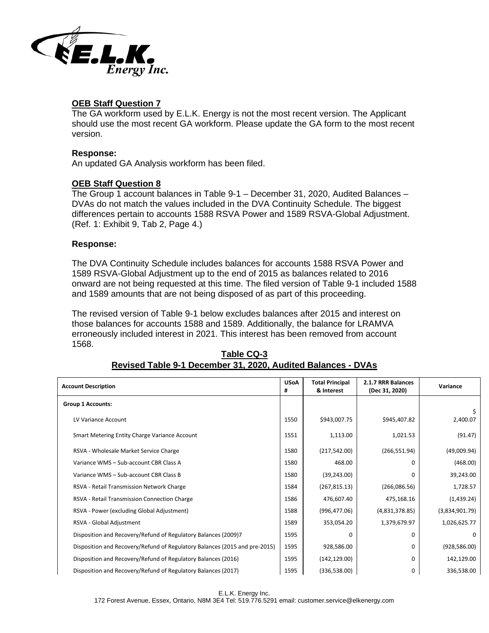

## **OEB Staff Question 7**

The GA workform used by E.L.K. Energy is not the most recent version. The Applicant should use the most recent GA workform. Please update the GA form to the most recent version.

### **Response:**

An updated GA Analysis workform has been filed.

## **OEB Staff Question 8**

The Group 1 account balances in Table 9-1 – December 31, 2020, Audited Balances – DVAs do not match the values included in the DVA Continuity Schedule. The biggest differences pertain to accounts 1588 RSVA Power and 1589 RSVA-Global Adjustment. (Ref. 1: Exhibit 9, Tab 2, Page 4.)

### **Response:**

The DVA Continuity Schedule includes balances for accounts 1588 RSVA Power and 1589 RSVA-Global Adjustment up to the end of 2015 as balances related to 2016 onward are not being requested at this time. The filed version of Table 9-1 included 1588 and 1589 amounts that are not being disposed of as part of this proceeding.

The revised version of Table 9-1 below excludes balances after 2015 and interest on those balances for accounts 1588 and 1589. Additionally, the balance for LRAMVA erroneously included interest in 2021. This interest has been removed from account 1568.

| <b>Account Description</b>                                                 |      | <b>Total Principal</b><br>& Interest | 2.1.7 RRR Balances<br>(Dec 31, 2020) | Variance       |
|----------------------------------------------------------------------------|------|--------------------------------------|--------------------------------------|----------------|
| <b>Group 1 Accounts:</b>                                                   |      |                                      |                                      |                |
| LV Variance Account                                                        | 1550 | \$943,007.75                         | \$945,407.82                         | 2,400.07       |
| Smart Metering Entity Charge Variance Account                              | 1551 | 1,113.00                             | 1,021.53                             | (91.47)        |
| RSVA - Wholesale Market Service Charge                                     | 1580 | (217, 542.00)                        | (266, 551.94)                        | (49,009.94)    |
| Variance WMS - Sub-account CBR Class A                                     | 1580 | 468.00                               | 0                                    | (468.00)       |
| Variance WMS - Sub-account CBR Class B                                     | 1580 | (39, 243.00)                         | 0                                    | 39,243.00      |
| RSVA - Retail Transmission Network Charge                                  | 1584 | (267, 815.13)                        | (266,086.56)                         | 1,728.57       |
| RSVA - Retail Transmission Connection Charge                               | 1586 | 476,607.40                           | 475,168.16                           | (1,439.24)     |
| RSVA - Power (excluding Global Adjustment)                                 | 1588 | (996, 477.06)                        | (4,831,378.85)                       | (3,834,901.79) |
| RSVA - Global Adjustment                                                   | 1589 | 353,054.20                           | 1,379,679.97                         | 1,026,625.77   |
| Disposition and Recovery/Refund of Regulatory Balances (2009)7             | 1595 | <sup>0</sup>                         | 0                                    | <sup>0</sup>   |
| Disposition and Recovery/Refund of Regulatory Balances (2015 and pre-2015) | 1595 | 928,586.00                           | 0                                    | (928, 586.00)  |
| Disposition and Recovery/Refund of Regulatory Balances (2016)              | 1595 | (142, 129.00)                        | 0                                    | 142,129.00     |
| Disposition and Recovery/Refund of Regulatory Balances (2017)              | 1595 | (336,538.00)                         | 0                                    | 336,538.00     |

## **Table CQ-3 Revised Table 9-1 December 31, 2020, Audited Balances - DVAs**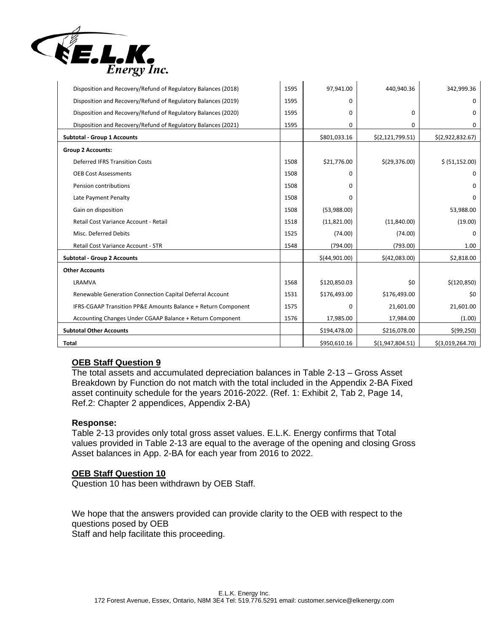

| Disposition and Recovery/Refund of Regulatory Balances (2018) | 1595 | 97,941.00     | 440,940.36         | 342,999.36       |
|---------------------------------------------------------------|------|---------------|--------------------|------------------|
| Disposition and Recovery/Refund of Regulatory Balances (2019) | 1595 | 0             |                    | 0                |
| Disposition and Recovery/Refund of Regulatory Balances (2020) | 1595 | 0             | 0                  | 0                |
| Disposition and Recovery/Refund of Regulatory Balances (2021) | 1595 | 0             | 0                  | 0                |
| <b>Subtotal - Group 1 Accounts</b>                            |      | \$801,033.16  | \$(2, 121, 799.51) | \$(2,922,832.67) |
| <b>Group 2 Accounts:</b>                                      |      |               |                    |                  |
| <b>Deferred IFRS Transition Costs</b>                         | 1508 | \$21,776.00   | \$(29,376.00)      | \$ (51, 152.00)  |
| <b>OEB Cost Assessments</b>                                   | 1508 | 0             |                    | 0                |
| Pension contributions                                         | 1508 | 0             |                    | 0                |
| Late Payment Penalty                                          | 1508 | O             |                    | $\Omega$         |
| Gain on disposition                                           | 1508 | (53,988.00)   |                    | 53,988.00        |
| Retail Cost Variance Account - Retail                         | 1518 | (11,821.00)   | (11,840.00)        | (19.00)          |
| Misc. Deferred Debits                                         | 1525 | (74.00)       | (74.00)            | 0                |
| Retail Cost Variance Account - STR                            | 1548 | (794.00)      | (793.00)           | 1.00             |
| <b>Subtotal - Group 2 Accounts</b>                            |      | \$(44,901.00) | \$(42,083.00)      | \$2,818.00       |
| <b>Other Accounts</b>                                         |      |               |                    |                  |
| LRAMVA                                                        | 1568 | \$120,850.03  | \$0                | \$(120, 850)     |
| Renewable Generation Connection Capital Deferral Account      | 1531 | \$176,493.00  | \$176,493.00       | \$0              |
| IFRS-CGAAP Transition PP&E Amounts Balance + Return Component | 1575 | $\Omega$      | 21,601.00          | 21,601.00        |
| Accounting Changes Under CGAAP Balance + Return Component     | 1576 | 17,985.00     | 17,984.00          | (1.00)           |
| <b>Subtotal Other Accounts</b>                                |      | \$194,478.00  | \$216,078.00       | \$ (99, 250)     |
| <b>Total</b>                                                  |      | \$950,610.16  | \$(1,947,804.51)   | \$(3,019,264.70) |

# **OEB Staff Question 9**

The total assets and accumulated depreciation balances in Table 2-13 – Gross Asset Breakdown by Function do not match with the total included in the Appendix 2-BA Fixed asset continuity schedule for the years 2016-2022. (Ref. 1: Exhibit 2, Tab 2, Page 14, Ref.2: Chapter 2 appendices, Appendix 2-BA)

### **Response:**

Table 2-13 provides only total gross asset values. E.L.K. Energy confirms that Total values provided in Table 2-13 are equal to the average of the opening and closing Gross Asset balances in App. 2-BA for each year from 2016 to 2022.

### **OEB Staff Question 10**

Question 10 has been withdrawn by OEB Staff.

We hope that the answers provided can provide clarity to the OEB with respect to the questions posed by OEB Staff and help facilitate this proceeding.